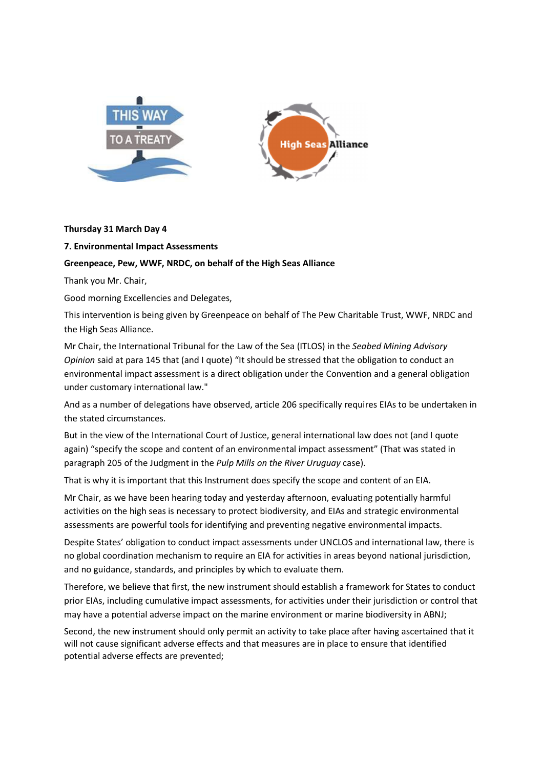



## **Thursday 31 March Day 4**

## **7. Environmental Impact Assessments**

## **Greenpeace, Pew, WWF, NRDC, on behalf of the High Seas Alliance**

Thank you Mr. Chair,

Good morning Excellencies and Delegates,

This intervention is being given by Greenpeace on behalf of The Pew Charitable Trust, WWF, NRDC and the High Seas Alliance.

Mr Chair, the International Tribunal for the Law of the Sea (ITLOS) in the *Seabed Mining Advisory Opinion* said at para 145 that (and I quote) "It should be stressed that the obligation to conduct an environmental impact assessment is a direct obligation under the Convention and a general obligation under customary international law."

And as a number of delegations have observed, article 206 specifically requires EIAs to be undertaken in the stated circumstances.

But in the view of the International Court of Justice, general international law does not (and I quote again) "specify the scope and content of an environmental impact assessment" (That was stated in paragraph 205 of the Judgment in the *Pulp Mills on the River Uruguay* case).

That is why it is important that this Instrument does specify the scope and content of an EIA.

Mr Chair, as we have been hearing today and yesterday afternoon, evaluating potentially harmful activities on the high seas is necessary to protect biodiversity, and EIAs and strategic environmental assessments are powerful tools for identifying and preventing negative environmental impacts.

Despite States' obligation to conduct impact assessments under UNCLOS and international law, there is no global coordination mechanism to require an EIA for activities in areas beyond national jurisdiction, and no guidance, standards, and principles by which to evaluate them.

Therefore, we believe that first, the new instrument should establish a framework for States to conduct prior EIAs, including cumulative impact assessments, for activities under their jurisdiction or control that may have a potential adverse impact on the marine environment or marine biodiversity in ABNJ;

Second, the new instrument should only permit an activity to take place after having ascertained that it will not cause significant adverse effects and that measures are in place to ensure that identified potential adverse effects are prevented;